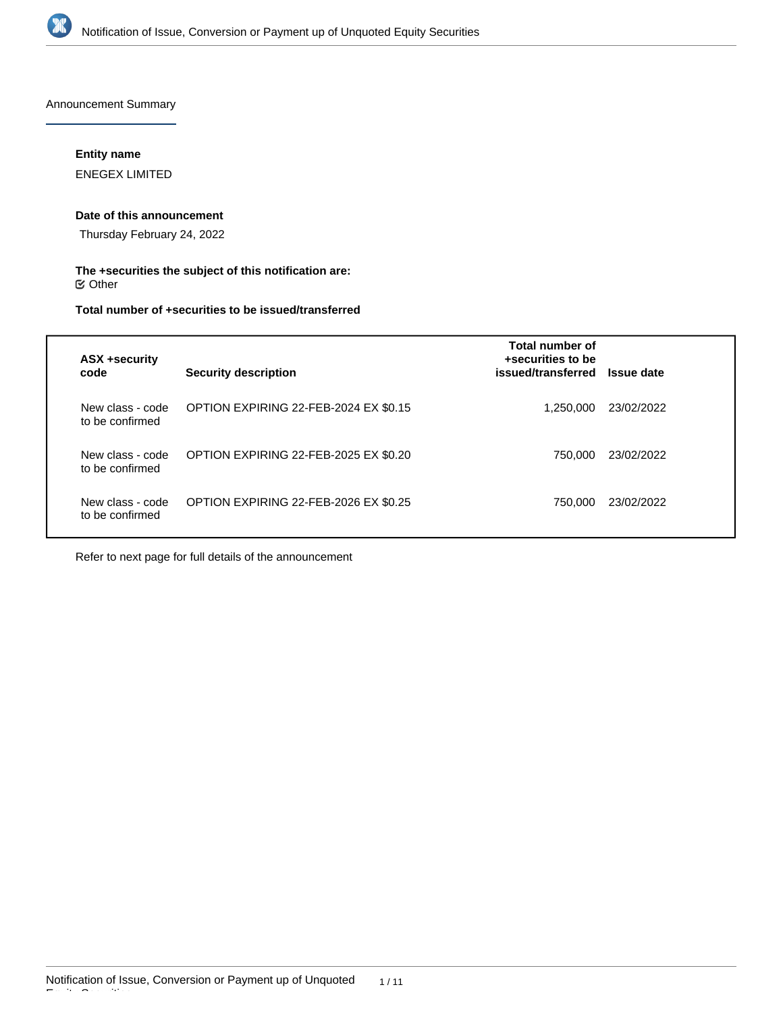

Announcement Summary

### **Entity name**

ENEGEX LIMITED

#### **Date of this announcement**

Thursday February 24, 2022

### **The +securities the subject of this notification are:**  $\mathfrak S$  Other

## **Total number of +securities to be issued/transferred**

| <b>ASX +security</b><br>code        | <b>Security description</b>           | Total number of<br>+securities to be<br>issued/transferred Issue date |            |
|-------------------------------------|---------------------------------------|-----------------------------------------------------------------------|------------|
| New class - code<br>to be confirmed | OPTION EXPIRING 22-FEB-2024 EX \$0.15 | 1.250.000                                                             | 23/02/2022 |
| New class - code<br>to be confirmed | OPTION EXPIRING 22-FEB-2025 EX \$0.20 | 750.000                                                               | 23/02/2022 |
| New class - code<br>to be confirmed | OPTION EXPIRING 22-FEB-2026 EX \$0.25 | 750.000                                                               | 23/02/2022 |

Refer to next page for full details of the announcement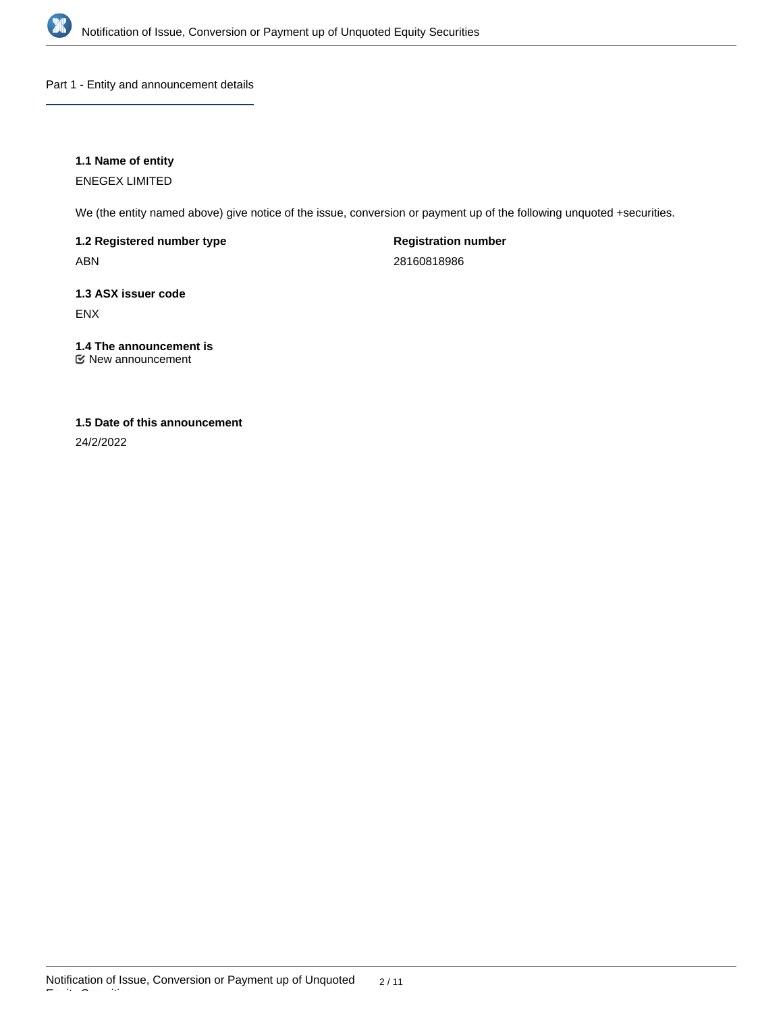

Part 1 - Entity and announcement details

### **1.1 Name of entity**

ENEGEX LIMITED

We (the entity named above) give notice of the issue, conversion or payment up of the following unquoted +securities.

**1.2 Registered number type** ABN

**Registration number** 28160818986

**1.3 ASX issuer code** ENX

**1.4 The announcement is** New announcement

# **1.5 Date of this announcement**

24/2/2022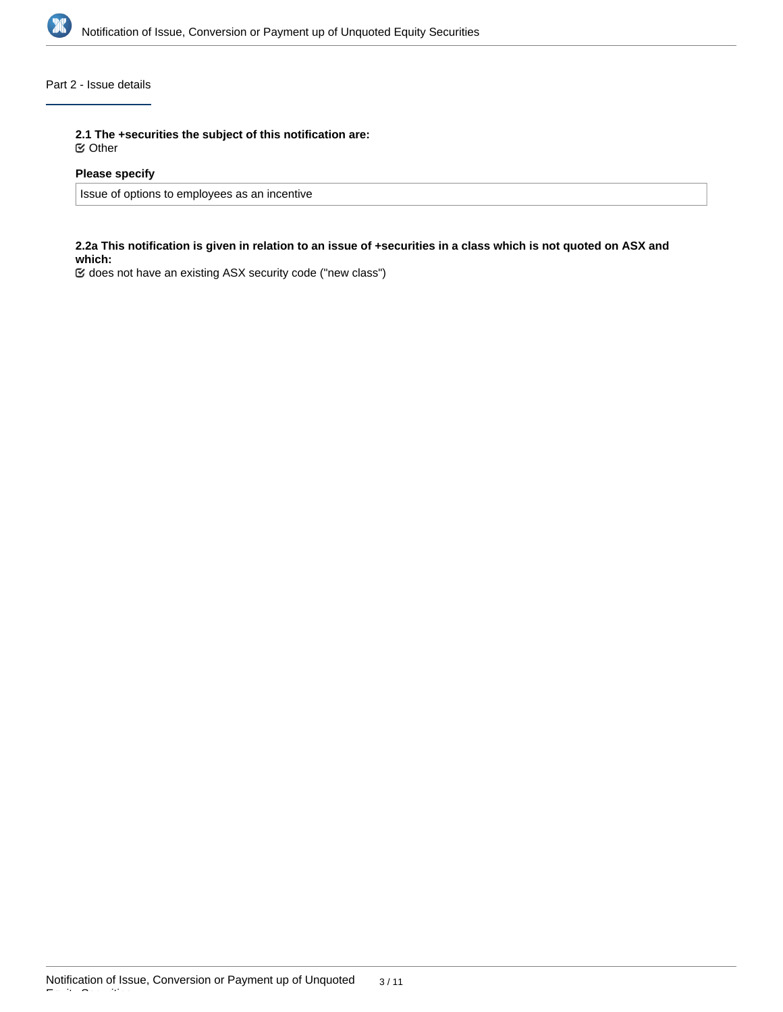

### Part 2 - Issue details

**2.1 The +securities the subject of this notification are:**

Other

### **Please specify**

Issue of options to employees as an incentive

### **2.2a This notification is given in relation to an issue of +securities in a class which is not quoted on ASX and which:**

does not have an existing ASX security code ("new class")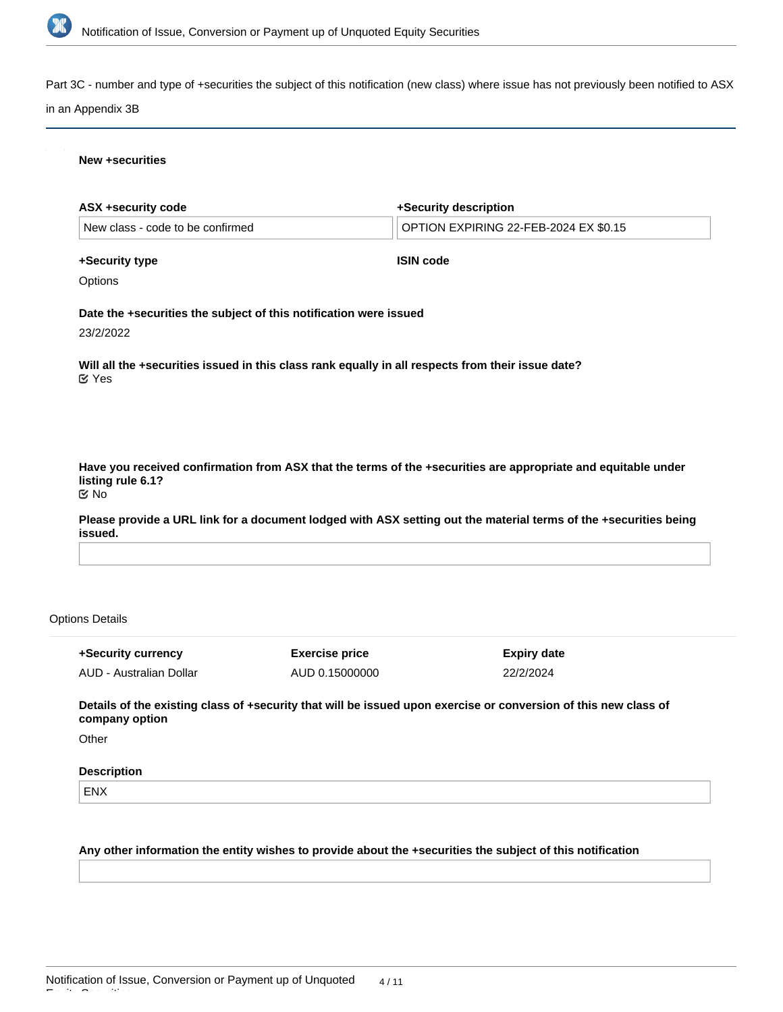

Part 3C - number and type of +securities the subject of this notification (new class) where issue has not previously been notified to ASX

#### in an Appendix 3B

### **New +securities**

| <b>ASX +security code</b>              |                                                                   | +Security description                                                                                            |
|----------------------------------------|-------------------------------------------------------------------|------------------------------------------------------------------------------------------------------------------|
| New class - code to be confirmed       |                                                                   | OPTION EXPIRING 22-FEB-2024 EX \$0.15                                                                            |
| +Security type                         |                                                                   | <b>ISIN code</b>                                                                                                 |
| Options                                |                                                                   |                                                                                                                  |
|                                        | Date the +securities the subject of this notification were issued |                                                                                                                  |
| 23/2/2022                              |                                                                   |                                                                                                                  |
| $\mathfrak C$ Yes                      |                                                                   | Will all the +securities issued in this class rank equally in all respects from their issue date?                |
|                                        |                                                                   |                                                                                                                  |
|                                        |                                                                   |                                                                                                                  |
|                                        |                                                                   | Have you received confirmation from ASX that the terms of the +securities are appropriate and equitable under    |
| listing rule 6.1?<br>$\mathfrak{C}$ No |                                                                   |                                                                                                                  |
|                                        |                                                                   |                                                                                                                  |
|                                        |                                                                   |                                                                                                                  |
|                                        |                                                                   |                                                                                                                  |
| issued.<br><b>Options Details</b>      |                                                                   | Please provide a URL link for a document lodged with ASX setting out the material terms of the +securities being |

**Details of the existing class of +security that will be issued upon exercise or conversion of this new class of company option**

22/2/2024

AUD 0.15000000

**Other** 

#### **Description**

AUD - Australian Dollar

ENX

Equity Securities

**Any other information the entity wishes to provide about the +securities the subject of this notification**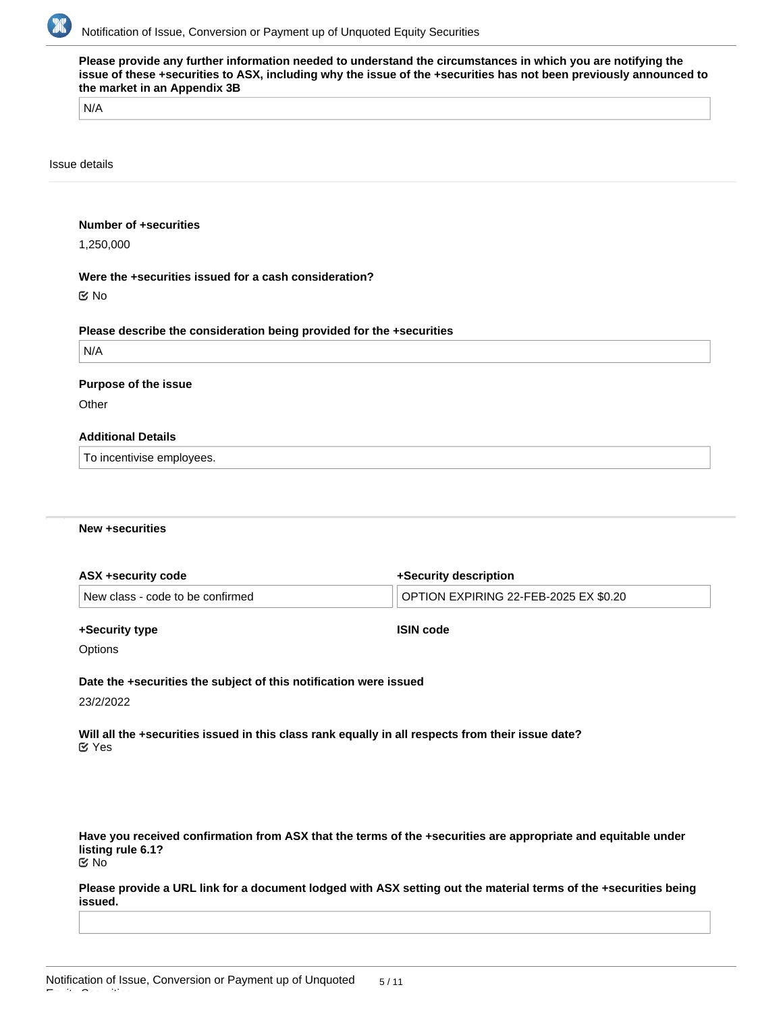

| N/A               |                                                                      |  |
|-------------------|----------------------------------------------------------------------|--|
| Issue details     |                                                                      |  |
|                   | <b>Number of +securities</b>                                         |  |
| 1,250,000         |                                                                      |  |
|                   | Were the +securities issued for a cash consideration?                |  |
| $\mathfrak{C}$ No |                                                                      |  |
|                   | Please describe the consideration being provided for the +securities |  |
| N/A               |                                                                      |  |
|                   | <b>Purpose of the issue</b>                                          |  |
| Other             |                                                                      |  |
|                   | <b>Additional Details</b>                                            |  |
|                   | To incentivise employees.                                            |  |

#### **New +securities**

| ASX +security code               | +Security description                 |
|----------------------------------|---------------------------------------|
| New class - code to be confirmed | OPTION EXPIRING 22-FEB-2025 EX \$0.20 |
|                                  |                                       |

#### **+Security type**

**ISIN code**

**Options** 

**Date the +securities the subject of this notification were issued**

23/2/2022

Equity Securities

**Will all the +securities issued in this class rank equally in all respects from their issue date?** Yes

**Have you received confirmation from ASX that the terms of the +securities are appropriate and equitable under listing rule 6.1?** No

**Please provide a URL link for a document lodged with ASX setting out the material terms of the +securities being issued.**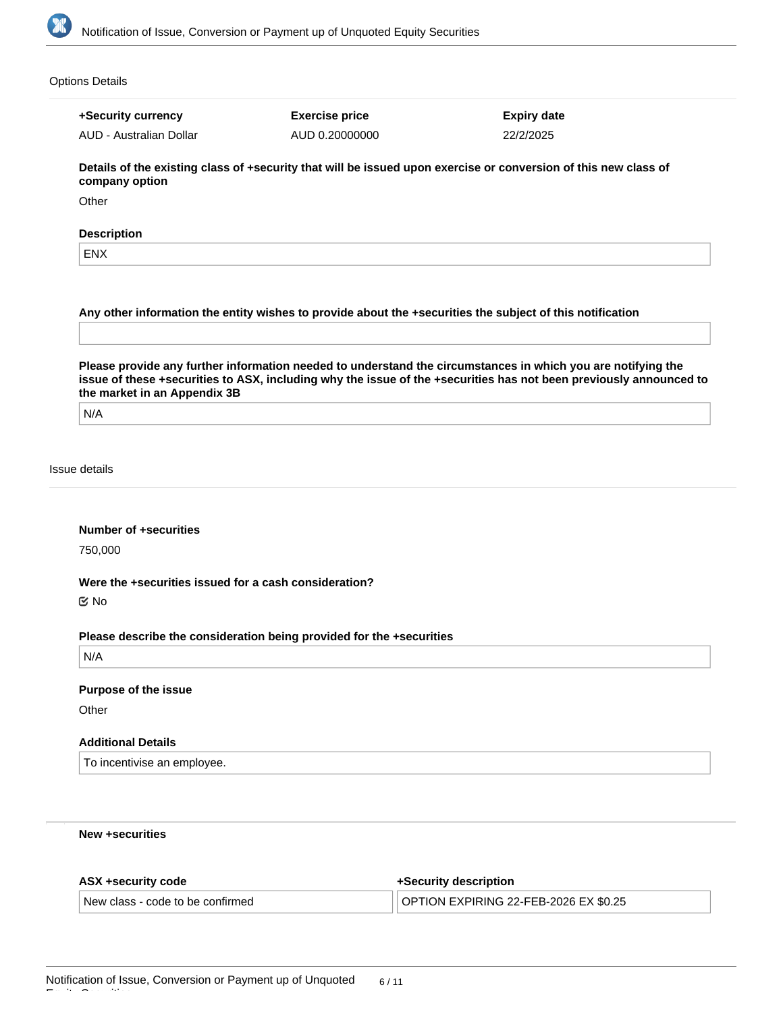

| +Security currency                                    | <b>Exercise price</b>                                                | <b>Expiry date</b>                                                                                                 |
|-------------------------------------------------------|----------------------------------------------------------------------|--------------------------------------------------------------------------------------------------------------------|
| AUD - Australian Dollar                               | AUD 0.20000000                                                       | 22/2/2025                                                                                                          |
| company option                                        |                                                                      | Details of the existing class of +security that will be issued upon exercise or conversion of this new class of    |
| Other                                                 |                                                                      |                                                                                                                    |
| <b>Description</b>                                    |                                                                      |                                                                                                                    |
| <b>ENX</b>                                            |                                                                      |                                                                                                                    |
|                                                       |                                                                      | Please provide any further information needed to understand the circumstances in which you are notifying the       |
|                                                       |                                                                      |                                                                                                                    |
| the market in an Appendix 3B<br>N/A                   |                                                                      | issue of these +securities to ASX, including why the issue of the +securities has not been previously announced to |
| Issue details                                         |                                                                      |                                                                                                                    |
| <b>Number of +securities</b><br>750,000               |                                                                      |                                                                                                                    |
| Were the +securities issued for a cash consideration? |                                                                      |                                                                                                                    |
|                                                       |                                                                      |                                                                                                                    |
|                                                       | Please describe the consideration being provided for the +securities |                                                                                                                    |
| N/A                                                   |                                                                      |                                                                                                                    |
| $\mathfrak{C}$ No<br><b>Purpose of the issue</b>      |                                                                      |                                                                                                                    |
| Other                                                 |                                                                      |                                                                                                                    |
| <b>Additional Details</b>                             |                                                                      |                                                                                                                    |
| To incentivise an employee.                           |                                                                      |                                                                                                                    |

| ASX +security code               | +Security description                 |
|----------------------------------|---------------------------------------|
| New class - code to be confirmed | OPTION EXPIRING 22-FEB-2026 EX \$0.25 |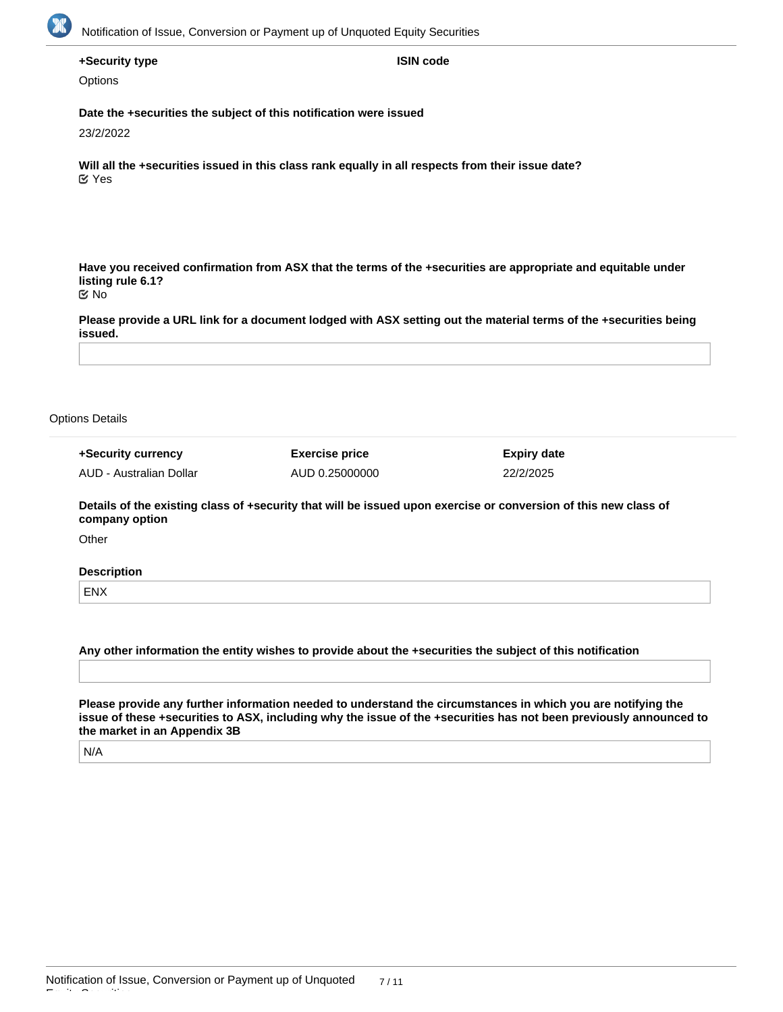

| +Security type |  |  |
|----------------|--|--|
|----------------|--|--|

**ISIN code**

**Options** 

**Date the +securities the subject of this notification were issued**

23/2/2022

**Will all the +securities issued in this class rank equally in all respects from their issue date?** Yes

**Have you received confirmation from ASX that the terms of the +securities are appropriate and equitable under listing rule 6.1?** No

**Please provide a URL link for a document lodged with ASX setting out the material terms of the +securities being issued.**

#### Options Details

| +Security currency      | <b>Exercise price</b> | <b>Expiry date</b> |
|-------------------------|-----------------------|--------------------|
| AUD - Australian Dollar | AUD 0.25000000        | 22/2/2025          |

**Details of the existing class of +security that will be issued upon exercise or conversion of this new class of company option**

**Other** 

#### **Description**

ENX

**Any other information the entity wishes to provide about the +securities the subject of this notification**

**Please provide any further information needed to understand the circumstances in which you are notifying the issue of these +securities to ASX, including why the issue of the +securities has not been previously announced to the market in an Appendix 3B**

N/A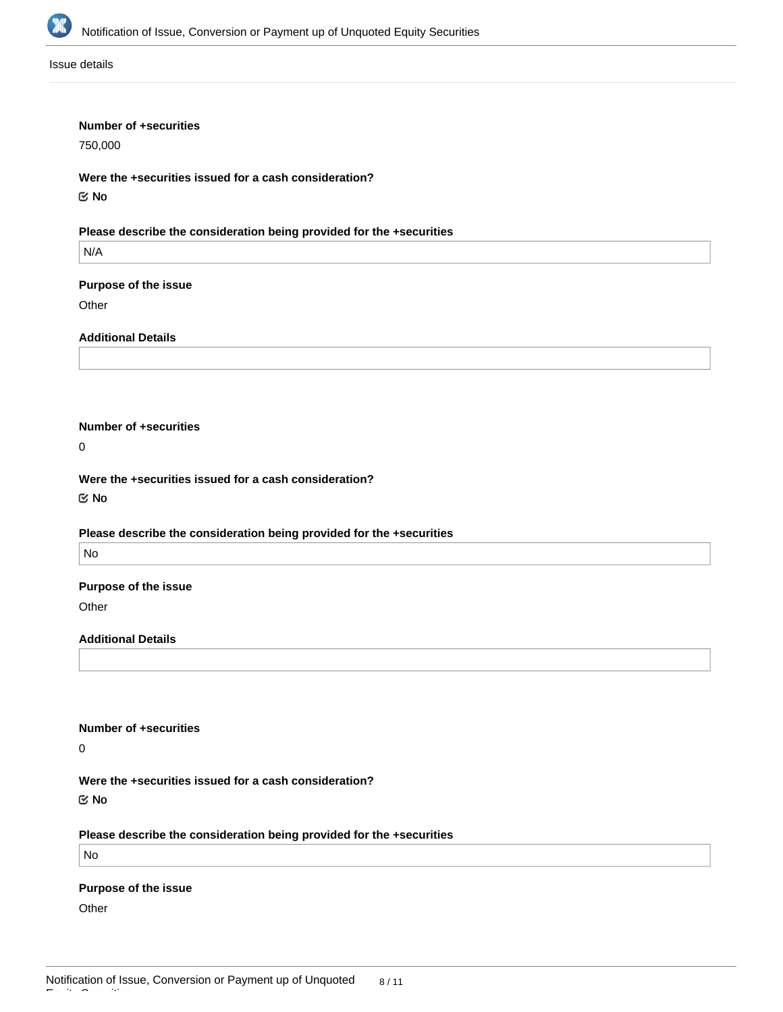

Issue details

#### **Number of +securities**

750,000

**Were the +securities issued for a cash consideration?** No

### **Please describe the consideration being provided for the +securities**

N/A

#### **Purpose of the issue**

**Other** 

**Additional Details**

### **Number of +securities**

0

**Were the +securities issued for a cash consideration?**

No

#### **Please describe the consideration being provided for the +securities**

No

#### **Purpose of the issue**

**Other** 

### **Additional Details**

#### **Number of +securities**

 $\overline{0}$ 

**Were the +securities issued for a cash consideration?**

No

#### **Please describe the consideration being provided for the +securities**

No

#### **Purpose of the issue**

**Other**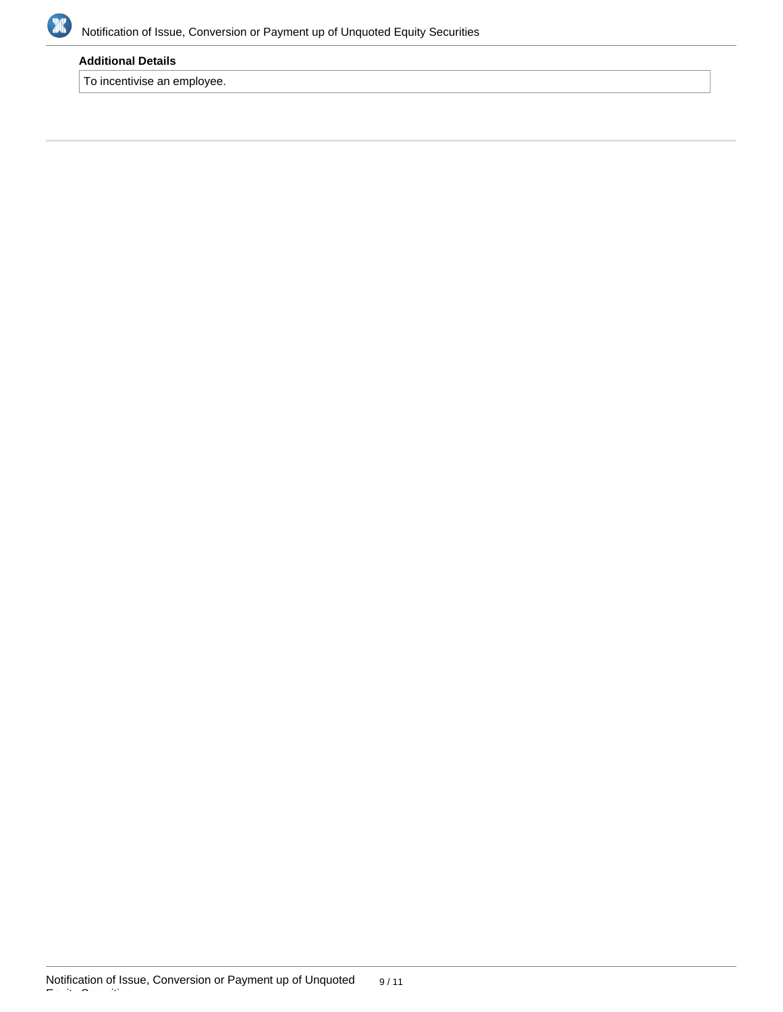

### **Additional Details**

To incentivise an employee.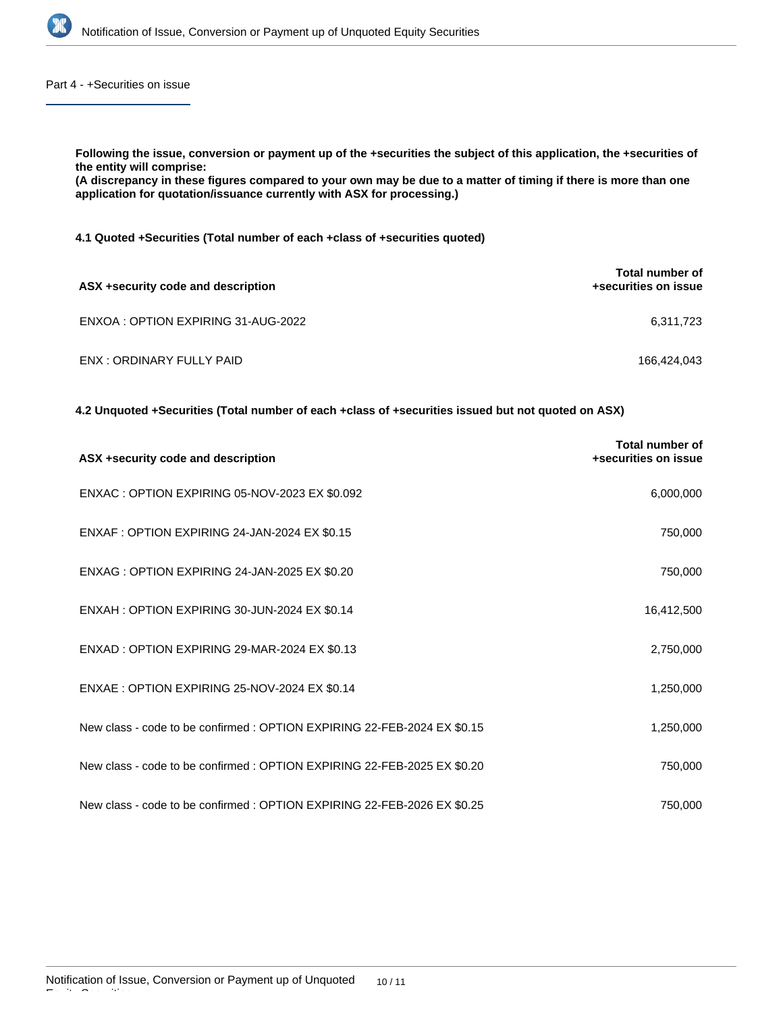

Part 4 - +Securities on issue

**Following the issue, conversion or payment up of the +securities the subject of this application, the +securities of the entity will comprise:**

**(A discrepancy in these figures compared to your own may be due to a matter of timing if there is more than one application for quotation/issuance currently with ASX for processing.)**

**4.1 Quoted +Securities (Total number of each +class of +securities quoted)**

| ASX +security code and description  | <b>Total number of</b><br>+securities on issue |
|-------------------------------------|------------------------------------------------|
| ENXOA : OPTION EXPIRING 31-AUG-2022 | 6,311,723                                      |
| ENX : ORDINARY FULLY PAID           | 166,424,043                                    |

**4.2 Unquoted +Securities (Total number of each +class of +securities issued but not quoted on ASX)**

| ASX +security code and description                                       | <b>Total number of</b><br>+securities on issue |
|--------------------------------------------------------------------------|------------------------------------------------|
| ENXAC : OPTION EXPIRING 05-NOV-2023 EX \$0.092                           | 6,000,000                                      |
| ENXAF : OPTION EXPIRING 24-JAN-2024 EX \$0.15                            | 750,000                                        |
| ENXAG : OPTION EXPIRING 24-JAN-2025 EX \$0.20                            | 750,000                                        |
| ENXAH: OPTION EXPIRING 30-JUN-2024 EX \$0.14                             | 16,412,500                                     |
| ENXAD : OPTION EXPIRING 29-MAR-2024 EX \$0.13                            | 2,750,000                                      |
| ENXAE : OPTION EXPIRING 25-NOV-2024 EX \$0.14                            | 1,250,000                                      |
| New class - code to be confirmed : OPTION EXPIRING 22-FEB-2024 EX \$0.15 | 1,250,000                                      |
| New class - code to be confirmed : OPTION EXPIRING 22-FEB-2025 EX \$0.20 | 750,000                                        |
| New class - code to be confirmed: OPTION EXPIRING 22-FEB-2026 EX \$0.25  | 750,000                                        |